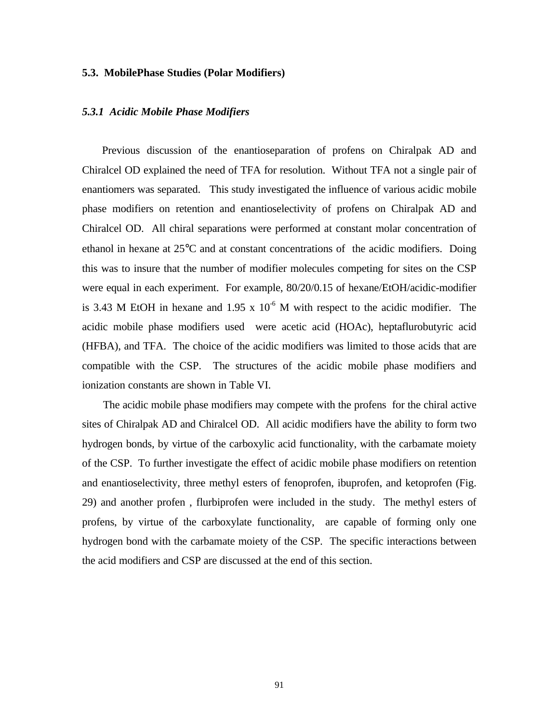## **5.3. MobilePhase Studies (Polar Modifiers)**

## *5.3.1 Acidic Mobile Phase Modifiers*

 Previous discussion of the enantioseparation of profens on Chiralpak AD and Chiralcel OD explained the need of TFA for resolution. Without TFA not a single pair of enantiomers was separated. This study investigated the influence of various acidic mobile phase modifiers on retention and enantioselectivity of profens on Chiralpak AD and Chiralcel OD. All chiral separations were performed at constant molar concentration of ethanol in hexane at 25°C and at constant concentrations of the acidic modifiers. Doing this was to insure that the number of modifier molecules competing for sites on the CSP were equal in each experiment. For example, 80/20/0.15 of hexane/EtOH/acidic-modifier is 3.43 M EtOH in hexane and 1.95 x  $10^{-6}$  M with respect to the acidic modifier. The acidic mobile phase modifiers used were acetic acid (HOAc), heptaflurobutyric acid (HFBA), and TFA. The choice of the acidic modifiers was limited to those acids that are compatible with the CSP. The structures of the acidic mobile phase modifiers and ionization constants are shown in Table VI.

 The acidic mobile phase modifiers may compete with the profens for the chiral active sites of Chiralpak AD and Chiralcel OD. All acidic modifiers have the ability to form two hydrogen bonds, by virtue of the carboxylic acid functionality, with the carbamate moiety of the CSP. To further investigate the effect of acidic mobile phase modifiers on retention and enantioselectivity, three methyl esters of fenoprofen, ibuprofen, and ketoprofen (Fig. 29) and another profen , flurbiprofen were included in the study. The methyl esters of profens, by virtue of the carboxylate functionality, are capable of forming only one hydrogen bond with the carbamate moiety of the CSP. The specific interactions between the acid modifiers and CSP are discussed at the end of this section.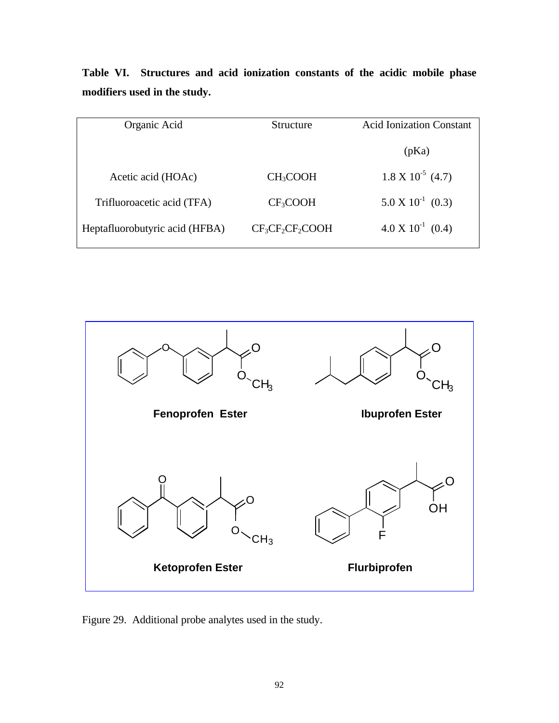| Organic Acid                   | Structure            | <b>Acid Ionization Constant</b>         |  |
|--------------------------------|----------------------|-----------------------------------------|--|
|                                |                      |                                         |  |
|                                |                      | (pKa)                                   |  |
|                                |                      |                                         |  |
| Acetic acid (HOAc)             | CH <sub>3</sub> COOH | $1.8 \text{ X } 10^{-5} \text{ } (4.7)$ |  |
|                                |                      |                                         |  |
| Trifluoroacetic acid (TFA)     | CF <sub>3</sub> COOH | $5.0 \times 10^{-1}$ (0.3)              |  |
|                                |                      |                                         |  |
| Heptafluorobutyric acid (HFBA) | $CF_3CF_2CF_2COOH$   | $4.0 \times 10^{-1}$ (0.4)              |  |
|                                |                      |                                         |  |

**Table VI. Structures and acid ionization constants of the acidic mobile phase modifiers used in the study.**



Figure 29. Additional probe analytes used in the study.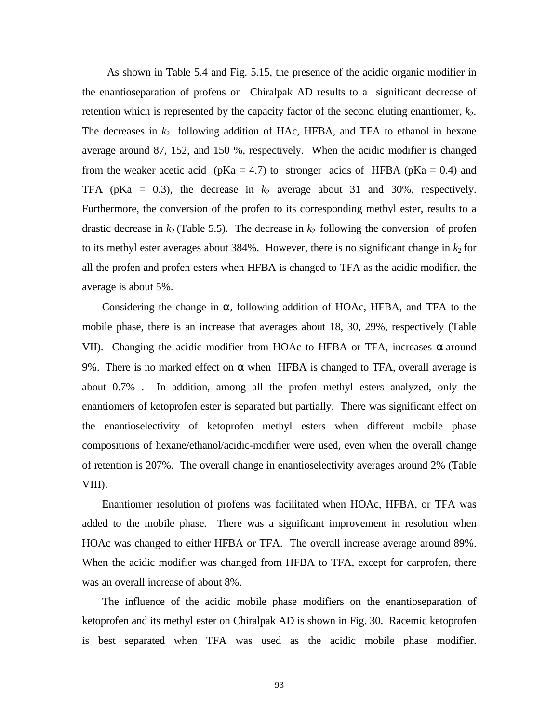As shown in Table 5.4 and Fig. 5.15, the presence of the acidic organic modifier in the enantioseparation of profens on Chiralpak AD results to a significant decrease of retention which is represented by the capacity factor of the second eluting enantiomer,  $k_2$ . The decreases in  $k_2$  following addition of HAc, HFBA, and TFA to ethanol in hexane average around 87, 152, and 150 %, respectively. When the acidic modifier is changed from the weaker acetic acid ( $pKa = 4.7$ ) to stronger acids of HFBA ( $pKa = 0.4$ ) and TFA ( $pKa = 0.3$ ), the decrease in  $k_2$  average about 31 and 30%, respectively. Furthermore, the conversion of the profen to its corresponding methyl ester, results to a drastic decrease in  $k_2$  (Table 5.5). The decrease in  $k_2$  following the conversion of profen to its methyl ester averages about  $384\%$ . However, there is no significant change in  $k_2$  for all the profen and profen esters when HFBA is changed to TFA as the acidic modifier, the average is about 5%.

Considering the change in  $\alpha$ , following addition of HOAc, HFBA, and TFA to the mobile phase, there is an increase that averages about 18, 30, 29%, respectively (Table VII). Changing the acidic modifier from HOAc to HFBA or TFA, increases  $\alpha$  around 9%. There is no marked effect on  $\alpha$  when HFBA is changed to TFA, overall average is about 0.7% . In addition, among all the profen methyl esters analyzed, only the enantiomers of ketoprofen ester is separated but partially. There was significant effect on the enantioselectivity of ketoprofen methyl esters when different mobile phase compositions of hexane/ethanol/acidic-modifier were used, even when the overall change of retention is 207%. The overall change in enantioselectivity averages around 2% (Table VIII).

 Enantiomer resolution of profens was facilitated when HOAc, HFBA, or TFA was added to the mobile phase. There was a significant improvement in resolution when HOAc was changed to either HFBA or TFA. The overall increase average around 89%. When the acidic modifier was changed from HFBA to TFA, except for carprofen, there was an overall increase of about 8%.

 The influence of the acidic mobile phase modifiers on the enantioseparation of ketoprofen and its methyl ester on Chiralpak AD is shown in Fig. 30. Racemic ketoprofen is best separated when TFA was used as the acidic mobile phase modifier.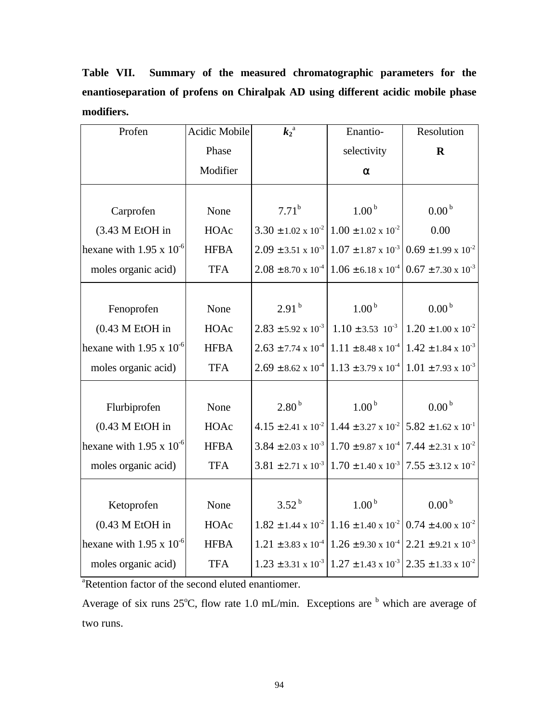**Table VII. Summary of the measured chromatographic parameters for the enantioseparation of profens on Chiralpak AD using different acidic mobile phase modifiers.**

| Profen                            | <b>Acidic Mobile</b> | $k_2$ <sup>a</sup>             | Enantio-                                                                                             | Resolution                                                        |
|-----------------------------------|----------------------|--------------------------------|------------------------------------------------------------------------------------------------------|-------------------------------------------------------------------|
|                                   | Phase                |                                | selectivity                                                                                          | $\mathbf R$                                                       |
|                                   | Modifier             |                                | $\alpha$                                                                                             |                                                                   |
|                                   |                      |                                |                                                                                                      |                                                                   |
| Carprofen                         | None                 | $7.71^{b}$                     | 1.00 <sup>b</sup>                                                                                    | 0.00 <sup>b</sup>                                                 |
| (3.43 M EtOH in                   | HOAc                 | $3.30 \pm 1.02 \times 10^{-2}$ | $1.00 \pm 1.02 \times 10^{-2}$                                                                       | 0.00                                                              |
| hexane with $1.95 \times 10^{-6}$ | <b>HFBA</b>          | $2.09 \pm 3.51 \times 10^{-3}$ | $1.07 \pm 1.87 \times 10^{-3}$                                                                       | $0.69 \pm 1.99 \times 10^{-2}$                                    |
| moles organic acid)               | <b>TFA</b>           | $2.08 \pm 8.70 \times 10^{-4}$ | $1.06 \pm 6.18 \times 10^{-4}$                                                                       | $0.67 \pm 7.30 \times 10^{-3}$                                    |
|                                   |                      |                                |                                                                                                      |                                                                   |
| Fenoprofen                        | None                 | 2.91 <sup>b</sup>              | 1.00 <sup>b</sup>                                                                                    | $0.00^{\,\mathrm{b}}$                                             |
| $(0.43 M$ EtOH in                 | HOAc                 | $2.83 \pm 5.92 \times 10^{-3}$ | $1.10 \pm 3.53$ $10^{-3}$                                                                            | $1.20 \pm 1.00 \times 10^{-2}$                                    |
| hexane with $1.95 \times 10^{-6}$ | <b>HFBA</b>          | $2.63 \pm 7.74 \times 10^{-4}$ |                                                                                                      | $1.11 \pm 8.48 \times 10^{-4}$ 1.42 $\pm$ 1.84 x 10 <sup>-3</sup> |
| moles organic acid)               | <b>TFA</b>           | $2.69 \pm 8.62 \times 10^{-4}$ |                                                                                                      | $1.13 \pm 3.79 \times 10^{-4}$ 1.01 $\pm$ 7.93 x 10 <sup>-3</sup> |
|                                   |                      |                                |                                                                                                      |                                                                   |
| Flurbiprofen                      | None                 | 2.80 <sup>b</sup>              | 1.00 <sup>b</sup>                                                                                    | $0.00^{\,\mathrm{b}}$                                             |
| $(0.43 M$ EtOH in                 | HOAc                 |                                | $4.15 \pm 2.41 \times 10^{-2}$ 1.44 $\pm$ 3.27 x 10 <sup>-2</sup> 5.82 $\pm$ 1.62 x 10 <sup>-1</sup> |                                                                   |
| hexane with $1.95 \times 10^{-6}$ | <b>HFBA</b>          | $3.84 \pm 2.03 \times 10^{-3}$ | $1.70 \pm 9.87 \times 10^{-4}$                                                                       | $7.44 \pm 2.31 \times 10^{-2}$                                    |
| moles organic acid)               | <b>TFA</b>           | $3.81 \pm 2.71 \times 10^{-3}$ | $1.70 \pm 1.40 \times 10^{-3}$ 7.55 $\pm$ 3.12 x 10 <sup>-2</sup>                                    |                                                                   |
|                                   |                      |                                |                                                                                                      |                                                                   |
| Ketoprofen                        | None                 | $3.52^{b}$                     | 1.00 <sup>b</sup>                                                                                    | $0.00^{\,\mathrm{b}}$                                             |
| $(0.43 M$ EtOH in                 | HOAc                 |                                | $1.82 \pm 1.44 \times 10^{-2}$ 1.16 $\pm$ 1.40 x 10 <sup>-2</sup> 0.74 $\pm$ 4.00 x 10 <sup>-2</sup> |                                                                   |
| hexane with $1.95 \times 10^{-6}$ | <b>HFBA</b>          |                                | $1.21 \pm 3.83 \times 10^{-4}$ 1.26 ± 9.30 x 10 <sup>-4</sup> 2.21 ± 9.21 x 10 <sup>-3</sup>         |                                                                   |
| moles organic acid)               | <b>TFA</b>           |                                | $1.23 \pm 3.31 \times 10^{-3}$ 1.27 $\pm$ 1.43 x 10 <sup>-3</sup> 2.35 $\pm$ 1.33 x 10 <sup>-2</sup> |                                                                   |

<sup>a</sup>Retention factor of the second eluted enantiomer.

Average of six runs  $25^{\circ}$ C, flow rate 1.0 mL/min. Exceptions are  $\overline{b}$  which are average of two runs.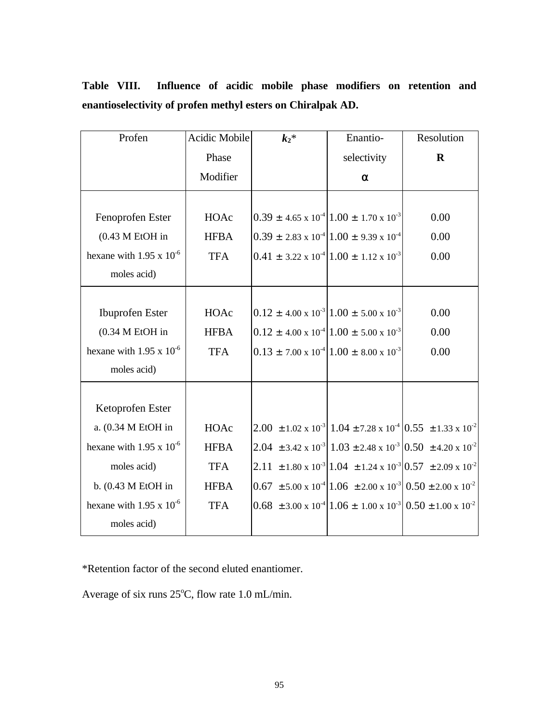| Profen                            | Acidic Mobile | $k_2*$                                                             | Enantio-                                                                                   | Resolution                                                                                               |
|-----------------------------------|---------------|--------------------------------------------------------------------|--------------------------------------------------------------------------------------------|----------------------------------------------------------------------------------------------------------|
|                                   | Phase         |                                                                    | selectivity                                                                                | $\mathbf R$                                                                                              |
|                                   | Modifier      |                                                                    | $\alpha$                                                                                   |                                                                                                          |
|                                   |               |                                                                    |                                                                                            |                                                                                                          |
| Fenoprofen Ester                  | HOAc          |                                                                    | $0.39 \pm 4.65 \times 10^{-4}   1.00 \pm 1.70 \times 10^{-3}$                              | 0.00                                                                                                     |
| $(0.43 M EtOH)$ in                | <b>HFBA</b>   | $0.39 \pm 2.83 \times 10^{-4} \times 1.00 \pm 9.39 \times 10^{-4}$ |                                                                                            | 0.00                                                                                                     |
| hexane with $1.95 \times 10^{-6}$ | <b>TFA</b>    |                                                                    | $0.41 \pm 3.22 \times 10^{-4}   1.00 \pm 1.12 \times 10^{-3}$                              | 0.00                                                                                                     |
| moles acid)                       |               |                                                                    |                                                                                            |                                                                                                          |
|                                   |               |                                                                    |                                                                                            |                                                                                                          |
| <b>Ibuprofen Ester</b>            | HOAc          |                                                                    | $0.12 \pm 4.00 \times 10^{-3} \times 1.00 \pm 5.00 \times 10^{-3}$                         | 0.00                                                                                                     |
| $(0.34 M E$ tOH in                | <b>HFBA</b>   |                                                                    | $0.12 \pm 4.00 \times 10^{-4}   1.00 \pm 5.00 \times 10^{-3}$                              | 0.00                                                                                                     |
| hexane with 1.95 x $10^{-6}$      | <b>TFA</b>    |                                                                    | $0.13 \pm 7.00 \times 10^{-4}   1.00 \pm 8.00 \times 10^{-3}$                              | 0.00                                                                                                     |
| moles acid)                       |               |                                                                    |                                                                                            |                                                                                                          |
|                                   |               |                                                                    |                                                                                            |                                                                                                          |
| Ketoprofen Ester                  |               |                                                                    |                                                                                            |                                                                                                          |
| a. (0.34 M EtOH in                | HOAc          |                                                                    |                                                                                            | 2.00 $\pm$ 1.02 x 10 <sup>-3</sup> 1.04 $\pm$ 7.28 x 10 <sup>-4</sup> 0.55 $\pm$ 1.33 x 10 <sup>-2</sup> |
| hexane with 1.95 x $10^{-6}$      | <b>HFBA</b>   |                                                                    |                                                                                            | 2.04 ± 3.42 x 10 <sup>-3</sup> 1.03 ± 2.48 x 10 <sup>-3</sup> 0.50 ± 4.20 x 10 <sup>-2</sup>             |
| moles acid)                       | <b>TFA</b>    |                                                                    |                                                                                            | 2.11 ± 1.80 x 10 <sup>-3</sup> 1.04 ± 1.24 x 10 <sup>-3</sup> 0.57 ± 2.09 x 10 <sup>-2</sup>             |
| b. (0.43 M EtOH in                | <b>HFBA</b>   |                                                                    |                                                                                            | $0.67 \pm 5.00 \times 10^{-4} [1.06 \pm 2.00 \times 10^{-3}] 0.50 \pm 2.00 \times 10^{-2}$               |
| hexane with 1.95 x $10^{-6}$      | <b>TFA</b>    |                                                                    | $0.68 \pm 3.00 \times 10^{-4} [1.06 \pm 1.00 \times 10^{-3}] 0.50 \pm 1.00 \times 10^{-2}$ |                                                                                                          |
| moles acid)                       |               |                                                                    |                                                                                            |                                                                                                          |

**Table VIII. Influence of acidic mobile phase modifiers on retention and enantioselectivity of profen methyl esters on Chiralpak AD.**

\*Retention factor of the second eluted enantiomer.

Average of six runs  $25^{\circ}$ C, flow rate 1.0 mL/min.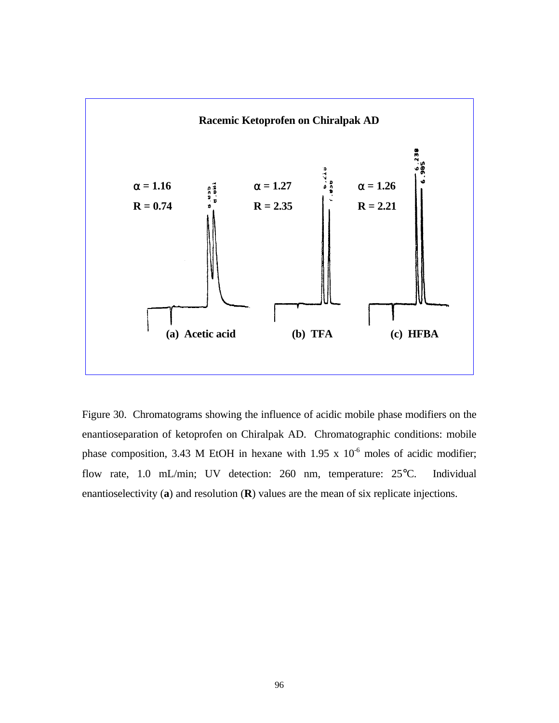

Figure 30. Chromatograms showing the influence of acidic mobile phase modifiers on the enantioseparation of ketoprofen on Chiralpak AD. Chromatographic conditions: mobile phase composition, 3.43 M EtOH in hexane with 1.95 x  $10^{-6}$  moles of acidic modifier; flow rate, 1.0 mL/min; UV detection: 260 nm, temperature: 25°C. Individual enantioselectivity (**a**) and resolution (**R**) values are the mean of six replicate injections.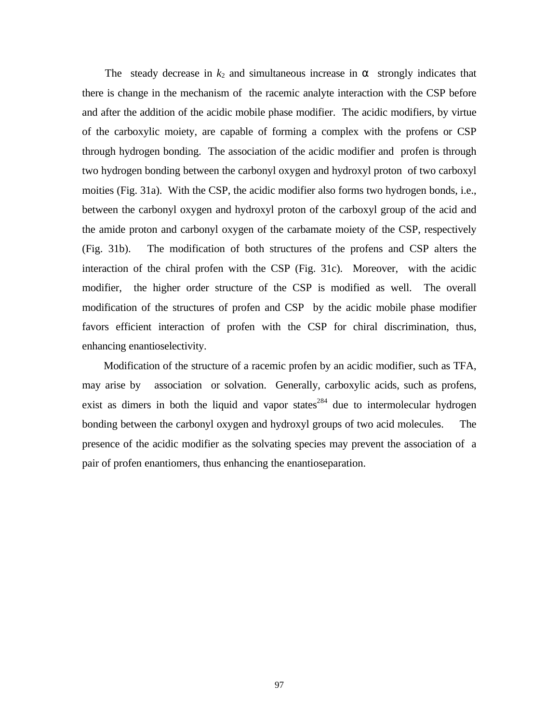The steady decrease in  $k_2$  and simultaneous increase in  $\alpha$  strongly indicates that there is change in the mechanism of the racemic analyte interaction with the CSP before and after the addition of the acidic mobile phase modifier. The acidic modifiers, by virtue of the carboxylic moiety, are capable of forming a complex with the profens or CSP through hydrogen bonding. The association of the acidic modifier and profen is through two hydrogen bonding between the carbonyl oxygen and hydroxyl proton of two carboxyl moities (Fig. 31a). With the CSP, the acidic modifier also forms two hydrogen bonds, i.e., between the carbonyl oxygen and hydroxyl proton of the carboxyl group of the acid and the amide proton and carbonyl oxygen of the carbamate moiety of the CSP, respectively (Fig. 31b). The modification of both structures of the profens and CSP alters the interaction of the chiral profen with the CSP (Fig. 31c). Moreover, with the acidic modifier, the higher order structure of the CSP is modified as well. The overall modification of the structures of profen and CSP by the acidic mobile phase modifier favors efficient interaction of profen with the CSP for chiral discrimination, thus, enhancing enantioselectivity.

 Modification of the structure of a racemic profen by an acidic modifier, such as TFA, may arise by association or solvation. Generally, carboxylic acids, such as profens, exist as dimers in both the liquid and vapor states<sup>284</sup> due to intermolecular hydrogen bonding between the carbonyl oxygen and hydroxyl groups of two acid molecules. The presence of the acidic modifier as the solvating species may prevent the association of a pair of profen enantiomers, thus enhancing the enantioseparation.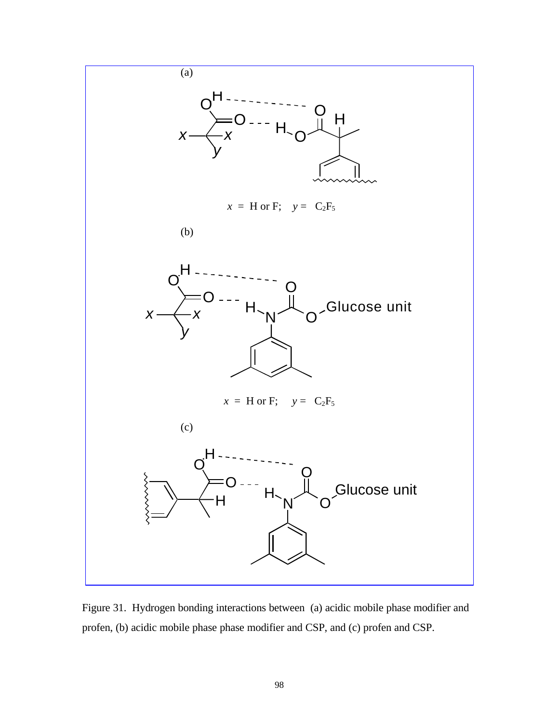

Figure 31. Hydrogen bonding interactions between (a) acidic mobile phase modifier and profen, (b) acidic mobile phase phase modifier and CSP, and (c) profen and CSP.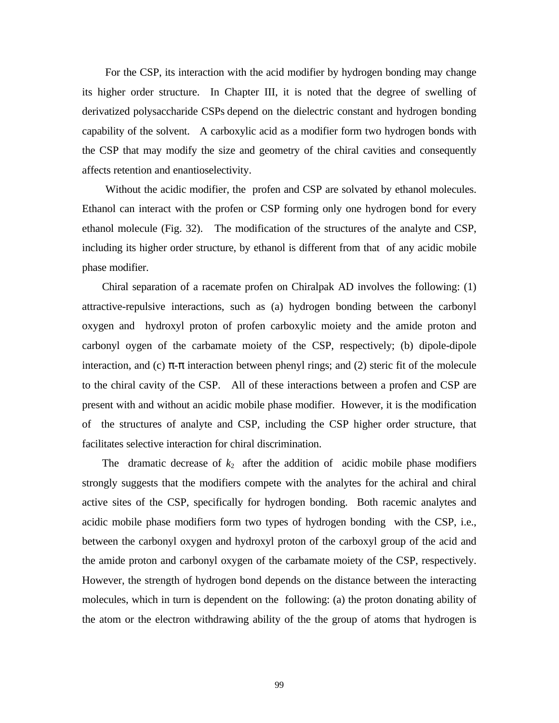For the CSP, its interaction with the acid modifier by hydrogen bonding may change its higher order structure. In Chapter III, it is noted that the degree of swelling of derivatized polysaccharide CSPs depend on the dielectric constant and hydrogen bonding capability of the solvent. A carboxylic acid as a modifier form two hydrogen bonds with the CSP that may modify the size and geometry of the chiral cavities and consequently affects retention and enantioselectivity.

 Without the acidic modifier, the profen and CSP are solvated by ethanol molecules. Ethanol can interact with the profen or CSP forming only one hydrogen bond for every ethanol molecule (Fig. 32). The modification of the structures of the analyte and CSP, including its higher order structure, by ethanol is different from that of any acidic mobile phase modifier.

 Chiral separation of a racemate profen on Chiralpak AD involves the following: (1) attractive-repulsive interactions, such as (a) hydrogen bonding between the carbonyl oxygen and hydroxyl proton of profen carboxylic moiety and the amide proton and carbonyl oygen of the carbamate moiety of the CSP, respectively; (b) dipole-dipole interaction, and (c)  $\pi$ - $\pi$  interaction between phenyl rings; and (2) steric fit of the molecule to the chiral cavity of the CSP. All of these interactions between a profen and CSP are present with and without an acidic mobile phase modifier. However, it is the modification of the structures of analyte and CSP, including the CSP higher order structure, that facilitates selective interaction for chiral discrimination.

The dramatic decrease of  $k_2$  after the addition of acidic mobile phase modifiers strongly suggests that the modifiers compete with the analytes for the achiral and chiral active sites of the CSP, specifically for hydrogen bonding. Both racemic analytes and acidic mobile phase modifiers form two types of hydrogen bonding with the CSP, i.e., between the carbonyl oxygen and hydroxyl proton of the carboxyl group of the acid and the amide proton and carbonyl oxygen of the carbamate moiety of the CSP, respectively. However, the strength of hydrogen bond depends on the distance between the interacting molecules, which in turn is dependent on the following: (a) the proton donating ability of the atom or the electron withdrawing ability of the the group of atoms that hydrogen is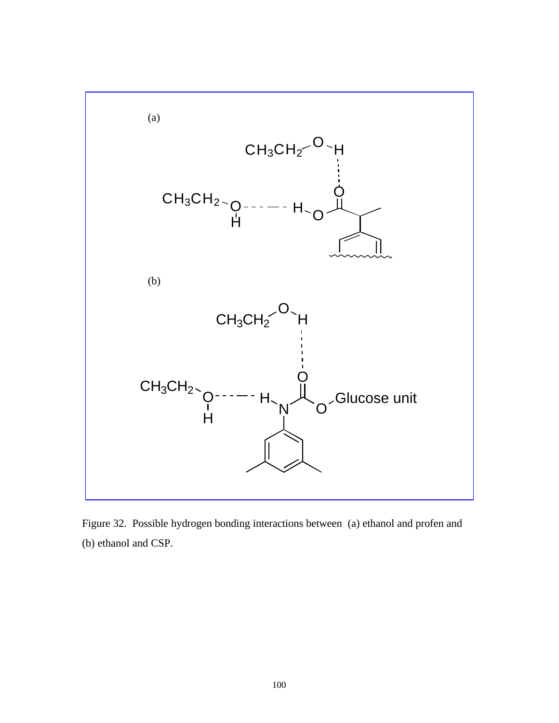

Figure 32. Possible hydrogen bonding interactions between (a) ethanol and profen and (b) ethanol and CSP.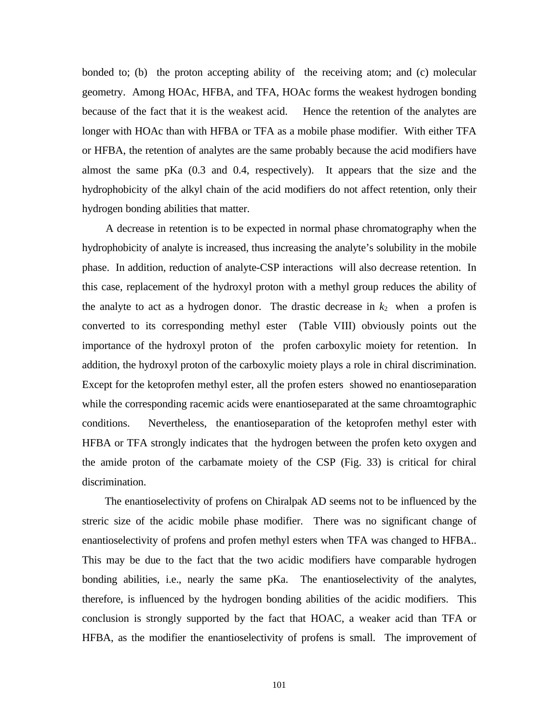bonded to; (b) the proton accepting ability of the receiving atom; and (c) molecular geometry. Among HOAc, HFBA, and TFA, HOAc forms the weakest hydrogen bonding because of the fact that it is the weakest acid. Hence the retention of the analytes are longer with HOAc than with HFBA or TFA as a mobile phase modifier. With either TFA or HFBA, the retention of analytes are the same probably because the acid modifiers have almost the same pKa (0.3 and 0.4, respectively). It appears that the size and the hydrophobicity of the alkyl chain of the acid modifiers do not affect retention, only their hydrogen bonding abilities that matter.

 A decrease in retention is to be expected in normal phase chromatography when the hydrophobicity of analyte is increased, thus increasing the analyte's solubility in the mobile phase. In addition, reduction of analyte-CSP interactions will also decrease retention. In this case, replacement of the hydroxyl proton with a methyl group reduces the ability of the analyte to act as a hydrogen donor. The drastic decrease in  $k_2$  when a profen is converted to its corresponding methyl ester (Table VIII) obviously points out the importance of the hydroxyl proton of the profen carboxylic moiety for retention. In addition, the hydroxyl proton of the carboxylic moiety plays a role in chiral discrimination. Except for the ketoprofen methyl ester, all the profen esters showed no enantioseparation while the corresponding racemic acids were enantioseparated at the same chroamtographic conditions. Nevertheless, the enantioseparation of the ketoprofen methyl ester with HFBA or TFA strongly indicates that the hydrogen between the profen keto oxygen and the amide proton of the carbamate moiety of the CSP (Fig. 33) is critical for chiral discrimination.

 The enantioselectivity of profens on Chiralpak AD seems not to be influenced by the streric size of the acidic mobile phase modifier. There was no significant change of enantioselectivity of profens and profen methyl esters when TFA was changed to HFBA.. This may be due to the fact that the two acidic modifiers have comparable hydrogen bonding abilities, i.e., nearly the same pKa. The enantioselectivity of the analytes, therefore, is influenced by the hydrogen bonding abilities of the acidic modifiers. This conclusion is strongly supported by the fact that HOAC, a weaker acid than TFA or HFBA, as the modifier the enantioselectivity of profens is small. The improvement of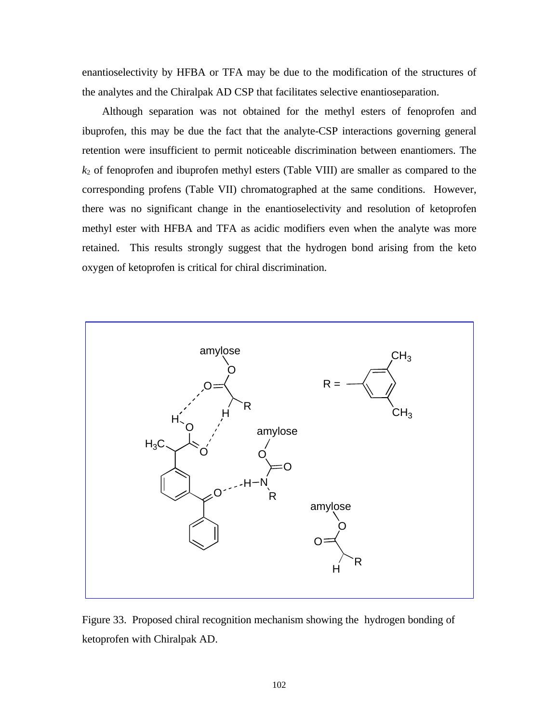enantioselectivity by HFBA or TFA may be due to the modification of the structures of the analytes and the Chiralpak AD CSP that facilitates selective enantioseparation.

 Although separation was not obtained for the methyl esters of fenoprofen and ibuprofen, this may be due the fact that the analyte-CSP interactions governing general retention were insufficient to permit noticeable discrimination between enantiomers. The *k*2 of fenoprofen and ibuprofen methyl esters (Table VIII) are smaller as compared to the corresponding profens (Table VII) chromatographed at the same conditions. However, there was no significant change in the enantioselectivity and resolution of ketoprofen methyl ester with HFBA and TFA as acidic modifiers even when the analyte was more retained. This results strongly suggest that the hydrogen bond arising from the keto oxygen of ketoprofen is critical for chiral discrimination.



Figure 33. Proposed chiral recognition mechanism showing the hydrogen bonding of ketoprofen with Chiralpak AD.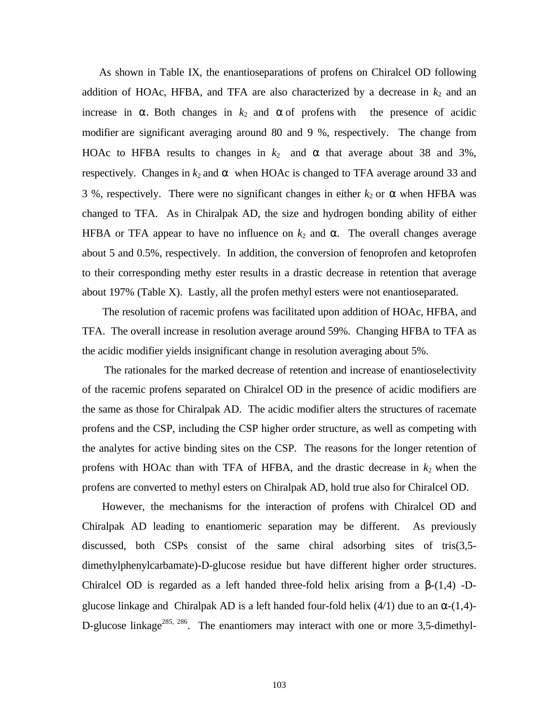As shown in Table IX, the enantioseparations of profens on Chiralcel OD following addition of HOAc, HFBA, and TFA are also characterized by a decrease in  $k_2$  and an increase in  $\alpha$ . Both changes in  $k_2$  and  $\alpha$  of profens with the presence of acidic modifier are significant averaging around 80 and 9 %, respectively. The change from HOAc to HFBA results to changes in  $k_2$  and  $\alpha$  that average about 38 and 3%, respectively. Changes in  $k_2$  and  $\alpha$  when HOAc is changed to TFA average around 33 and 3 %, respectively. There were no significant changes in either  $k_2$  or  $\alpha$  when HFBA was changed to TFA. As in Chiralpak AD, the size and hydrogen bonding ability of either HFBA or TFA appear to have no influence on  $k_2$  and  $\alpha$ . The overall changes average about 5 and 0.5%, respectively. In addition, the conversion of fenoprofen and ketoprofen to their corresponding methy ester results in a drastic decrease in retention that average about 197% (Table X). Lastly, all the profen methyl esters were not enantioseparated.

 The resolution of racemic profens was facilitated upon addition of HOAc, HFBA, and TFA. The overall increase in resolution average around 59%. Changing HFBA to TFA as the acidic modifier yields insignificant change in resolution averaging about 5%.

 The rationales for the marked decrease of retention and increase of enantioselectivity of the racemic profens separated on Chiralcel OD in the presence of acidic modifiers are the same as those for Chiralpak AD. The acidic modifier alters the structures of racemate profens and the CSP, including the CSP higher order structure, as well as competing with the analytes for active binding sites on the CSP. The reasons for the longer retention of profens with HOAc than with TFA of HFBA, and the drastic decrease in  $k_2$  when the profens are converted to methyl esters on Chiralpak AD, hold true also for Chiralcel OD.

 However, the mechanisms for the interaction of profens with Chiralcel OD and Chiralpak AD leading to enantiomeric separation may be different. As previously discussed, both CSPs consist of the same chiral adsorbing sites of tris(3,5 dimethylphenylcarbamate)-D-glucose residue but have different higher order structures. Chiralcel OD is regarded as a left handed three-fold helix arising from a  $\beta$ -(1,4) -Dglucose linkage and Chiralpak AD is a left handed four-fold helix (4/1) due to an  $\alpha$ -(1,4)-D-glucose linkage<sup>285, 286</sup>. The enantiomers may interact with one or more 3,5-dimethyl-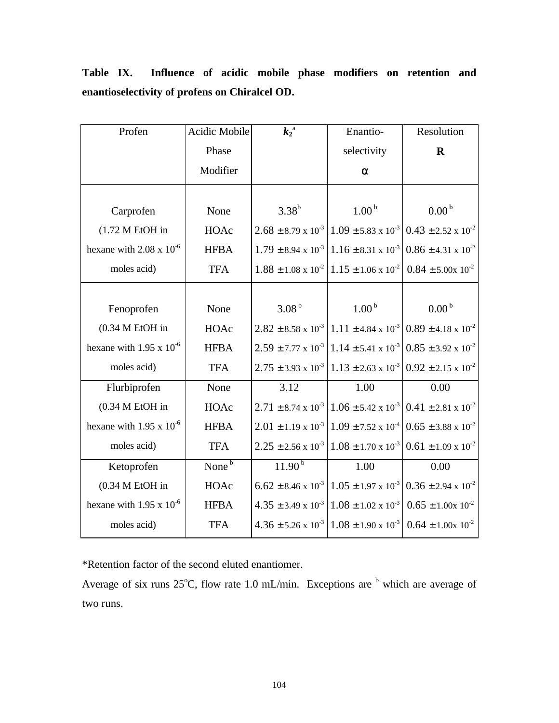| Profen                            | Acidic Mobile     | $k_2^{\overline{a}}$           | Enantio-                                                                                             | Resolution                     |
|-----------------------------------|-------------------|--------------------------------|------------------------------------------------------------------------------------------------------|--------------------------------|
|                                   | Phase             |                                | selectivity                                                                                          | $\mathbf R$                    |
|                                   | Modifier          |                                | $\alpha$                                                                                             |                                |
|                                   |                   |                                |                                                                                                      |                                |
| Carprofen                         | None              | $3.38^{b}$                     | 1.00 <sup>b</sup>                                                                                    | 0.00 <sup>b</sup>              |
| $(1.72 MEtOH)$ in                 | HOAc              |                                | $2.68 \pm 8.79 \times 10^{-3}$ 1.09 $\pm$ 5.83 x 10 <sup>-3</sup> 0.43 $\pm$ 2.52 x 10 <sup>-2</sup> |                                |
| hexane with $2.08 \times 10^{-6}$ | <b>HFBA</b>       | $1.79 \pm 8.94 \times 10^{-3}$ | $1.16 \pm 8.31 \times 10^{-3}$                                                                       | $0.86 \pm 4.31 \times 10^{-2}$ |
| moles acid)                       | <b>TFA</b>        |                                | $1.88 \pm 1.08 \times 10^{-2}$ 1.15 $\pm$ 1.06 x 10 <sup>-2</sup> 0.84 $\pm$ 5.00x 10 <sup>-2</sup>  |                                |
|                                   |                   |                                |                                                                                                      |                                |
| Fenoprofen                        | None              | 3.08 <sup>b</sup>              | 1.00 <sup>b</sup>                                                                                    | 0.00 <sup>b</sup>              |
| $(0.34 M E$ tOH in                | HOAc              |                                | $2.82 \pm 8.58 \times 10^{-3}$ 1.11 $\pm 4.84 \times 10^{-3}$ 0.89 $\pm 4.18 \times 10^{-2}$         |                                |
| hexane with $1.95 \times 10^{-6}$ | <b>HFBA</b>       |                                | $2.59 \pm 7.77 \times 10^{-3}$ 1.14 $\pm$ 5.41 x $10^{-3}$ 0.85 $\pm$ 3.92 x $10^{-2}$               |                                |
| moles acid)                       | <b>TFA</b>        |                                | $2.75 \pm 3.93 \times 10^{-3}$ 1.13 $\pm$ 2.63 x 10 <sup>-3</sup> 0.92 $\pm$ 2.15 x 10 <sup>-2</sup> |                                |
| Flurbiprofen                      | None              | 3.12                           | 1.00                                                                                                 | 0.00                           |
| $(0.34 M E$ tOH in                | HOAc              |                                | $2.71 \pm 8.74 \times 10^{-3}$ 1.06 $\pm$ 5.42 x 10 <sup>-3</sup> 0.41 $\pm$ 2.81 x 10 <sup>-2</sup> |                                |
| hexane with 1.95 x $10^{-6}$      | <b>HFBA</b>       |                                | $2.01 \pm 1.19 \times 10^{-3} \cdot 1.09 \pm 7.52 \times 10^{-4} \cdot 0.65 \pm 3.88 \times 10^{-2}$ |                                |
| moles acid)                       | <b>TFA</b>        |                                | $2.25 \pm 2.56 \times 10^{-3}$ 1.08 $\pm$ 1.70 x 10 <sup>-3</sup> 0.61 $\pm$ 1.09 x 10 <sup>-2</sup> |                                |
| Ketoprofen                        | None <sup>b</sup> | $11.90^{b}$                    | 1.00                                                                                                 | 0.00                           |
| $(0.34 M E$ tOH in                | HOAc              |                                | $6.62 \pm 8.46 \times 10^{-3} \cdot 1.05 \pm 1.97 \times 10^{-3} \cdot 0.36 \pm 2.94 \times 10^{-2}$ |                                |
| hexane with 1.95 x $10^{-6}$      | <b>HFBA</b>       |                                | $4.35 \pm 3.49 \times 10^{-3} \cdot 1.08 \pm 1.02 \times 10^{-3}$                                    | $0.65 \pm 1.00 \times 10^{-2}$ |
| moles acid)                       | <b>TFA</b>        |                                | $4.36 \pm 5.26 \times 10^{-3}$ 1.08 ± 1.90 x 10 <sup>-3</sup> 0.64 ± 1.00x 10 <sup>-2</sup>          |                                |

**Table IX. Influence of acidic mobile phase modifiers on retention and enantioselectivity of profens on Chiralcel OD.**

\*Retention factor of the second eluted enantiomer.

Average of six runs  $25^{\circ}$ C, flow rate 1.0 mL/min. Exceptions are  $\overline{b}$  which are average of two runs.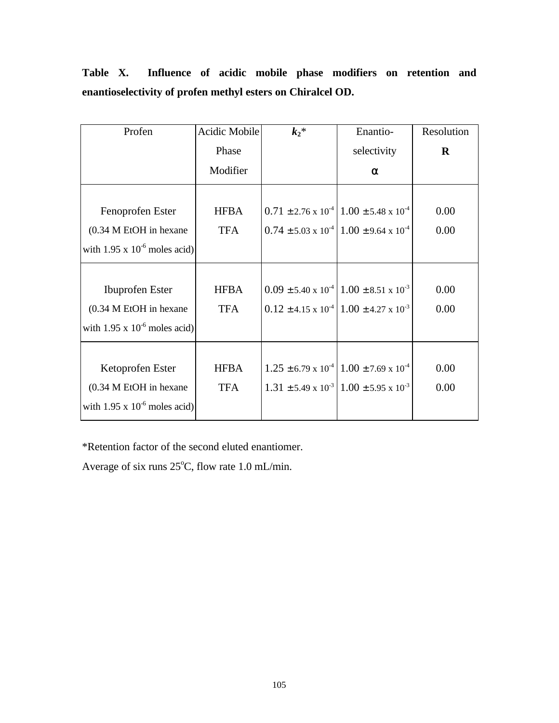| Profen                            | Acidic Mobile | $k_2*$ | Enantio-                                                          | Resolution |
|-----------------------------------|---------------|--------|-------------------------------------------------------------------|------------|
|                                   | Phase         |        | selectivity                                                       | $\bf{R}$   |
|                                   | Modifier      |        | $\alpha$                                                          |            |
|                                   |               |        |                                                                   |            |
| Fenoprofen Ester                  | <b>HFBA</b>   |        | $0.71 \pm 2.76 \times 10^{-4}$ 1.00 ± 5.48 x 10 <sup>-4</sup>     | 0.00       |
| (0.34 M EtOH in hexane            | <b>TFA</b>    |        | $0.74 \pm 5.03 \times 10^{-4}$ 1.00 ± 9.64 x 10 <sup>-4</sup>     | 0.00       |
| with 1.95 x $10^{-6}$ moles acid) |               |        |                                                                   |            |
|                                   |               |        |                                                                   |            |
| <b>Ibuprofen</b> Ester            | <b>HFBA</b>   |        | $0.09 \pm 5.40 \times 10^{-4}$ 1.00 $\pm$ 8.51 x 10 <sup>-3</sup> | 0.00       |
| (0.34 M EtOH in hexane            | <b>TFA</b>    |        | $0.12 \pm 4.15 \times 10^{-4}$ 1.00 $\pm 4.27 \times 10^{-3}$     | 0.00       |
| with 1.95 x $10^{-6}$ moles acid) |               |        |                                                                   |            |
|                                   |               |        |                                                                   |            |
| Ketoprofen Ester                  | <b>HFBA</b>   |        | $1.25 \pm 6.79 \times 10^{-4}$ 1.00 $\pm$ 7.69 x 10 <sup>-4</sup> | 0.00       |
| (0.34 M EtOH in hexane)           | <b>TFA</b>    |        | $1.31 \pm 5.49 \times 10^{-3}$ 1.00 $\pm$ 5.95 x 10 <sup>-3</sup> | 0.00       |
| with 1.95 x $10^{-6}$ moles acid) |               |        |                                                                   |            |

**Table X. Influence of acidic mobile phase modifiers on retention and enantioselectivity of profen methyl esters on Chiralcel OD.**

\*Retention factor of the second eluted enantiomer.

Average of six runs  $25^{\circ}$ C, flow rate 1.0 mL/min.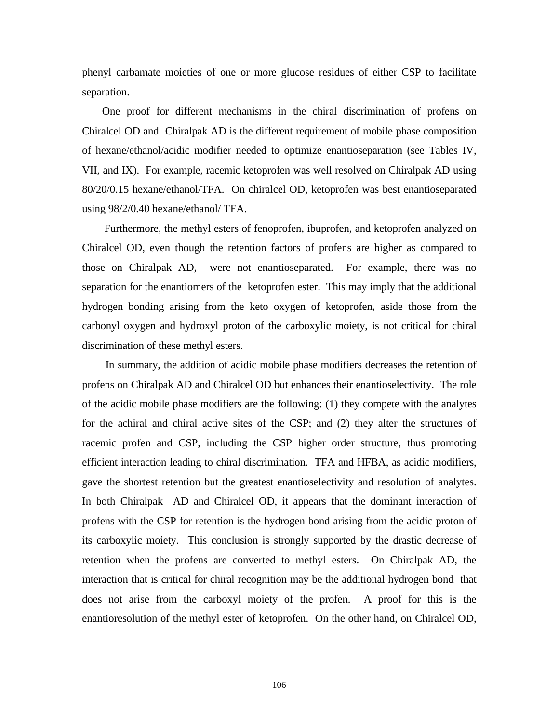phenyl carbamate moieties of one or more glucose residues of either CSP to facilitate separation.

 One proof for different mechanisms in the chiral discrimination of profens on Chiralcel OD and Chiralpak AD is the different requirement of mobile phase composition of hexane/ethanol/acidic modifier needed to optimize enantioseparation (see Tables IV, VII, and IX). For example, racemic ketoprofen was well resolved on Chiralpak AD using 80/20/0.15 hexane/ethanol/TFA. On chiralcel OD, ketoprofen was best enantioseparated using 98/2/0.40 hexane/ethanol/ TFA.

 Furthermore, the methyl esters of fenoprofen, ibuprofen, and ketoprofen analyzed on Chiralcel OD, even though the retention factors of profens are higher as compared to those on Chiralpak AD, were not enantioseparated. For example, there was no separation for the enantiomers of the ketoprofen ester. This may imply that the additional hydrogen bonding arising from the keto oxygen of ketoprofen, aside those from the carbonyl oxygen and hydroxyl proton of the carboxylic moiety, is not critical for chiral discrimination of these methyl esters.

 In summary, the addition of acidic mobile phase modifiers decreases the retention of profens on Chiralpak AD and Chiralcel OD but enhances their enantioselectivity. The role of the acidic mobile phase modifiers are the following: (1) they compete with the analytes for the achiral and chiral active sites of the CSP; and (2) they alter the structures of racemic profen and CSP, including the CSP higher order structure, thus promoting efficient interaction leading to chiral discrimination. TFA and HFBA, as acidic modifiers, gave the shortest retention but the greatest enantioselectivity and resolution of analytes. In both Chiralpak AD and Chiralcel OD, it appears that the dominant interaction of profens with the CSP for retention is the hydrogen bond arising from the acidic proton of its carboxylic moiety. This conclusion is strongly supported by the drastic decrease of retention when the profens are converted to methyl esters. On Chiralpak AD, the interaction that is critical for chiral recognition may be the additional hydrogen bond that does not arise from the carboxyl moiety of the profen. A proof for this is the enantioresolution of the methyl ester of ketoprofen. On the other hand, on Chiralcel OD,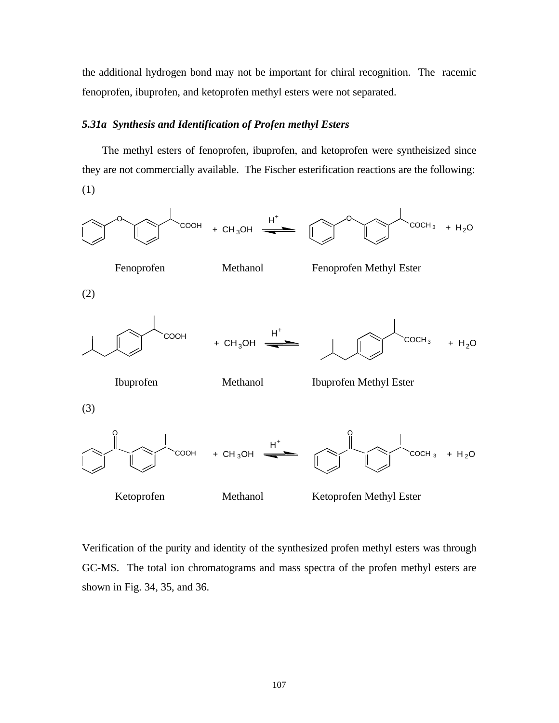the additional hydrogen bond may not be important for chiral recognition. The racemic fenoprofen, ibuprofen, and ketoprofen methyl esters were not separated.

## *5.31a Synthesis and Identification of Profen methyl Esters*

 The methyl esters of fenoprofen, ibuprofen, and ketoprofen were syntheisized since they are not commercially available. The Fischer esterification reactions are the following: (1)



Verification of the purity and identity of the synthesized profen methyl esters was through GC-MS. The total ion chromatograms and mass spectra of the profen methyl esters are shown in Fig. 34, 35, and 36.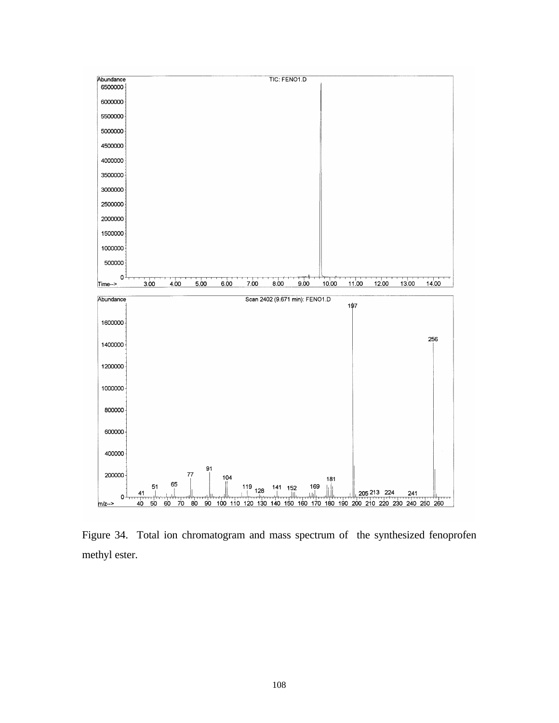

Figure 34. Total ion chromatogram and mass spectrum of the synthesized fenoprofen methyl ester.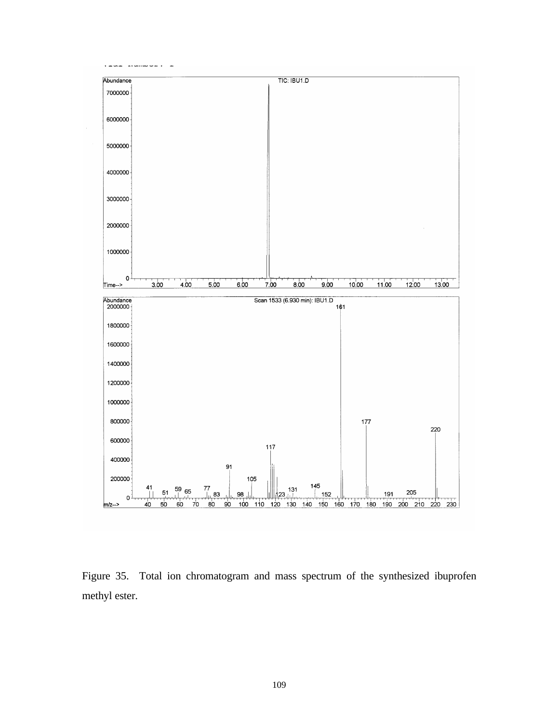

Figure 35. Total ion chromatogram and mass spectrum of the synthesized ibuprofen methyl ester.